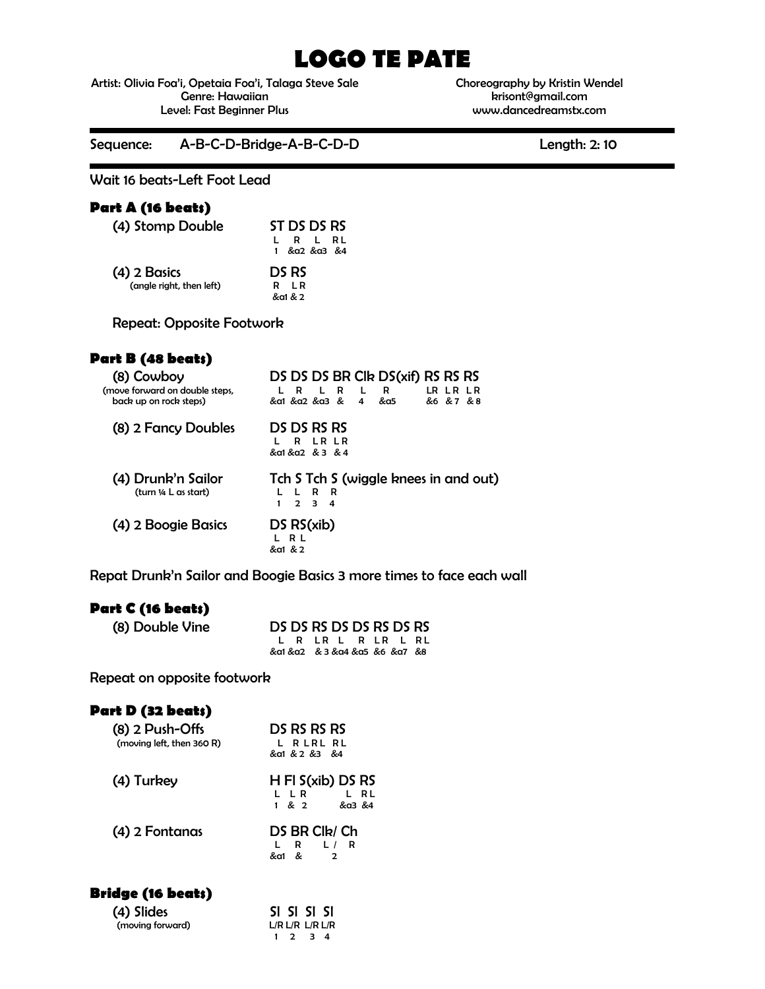# **LOGO TE PATE**

Artist: Olivia Foa'i, Opetaia Foa'i, Talaga Steve Sale Genre: Hawaiian Level: Fast Beginner Plus

Choreography by Kristin Wendel krisont@gmail.com www.dancedreamstx.com

Sequence: A-B-C-D-Bridge-A-B-C-D-D Length: 2: 10

Wait 16 beats-Left Foot Lead

#### **Part A (16 beats)**

| (4) Stomp Double         | ST DS DS RS<br>R L RL    |
|--------------------------|--------------------------|
| $(4)$ 2 Basics           | 1 & a2 & a3 & 4<br>DS RS |
| (angle right, then left) | 1 R<br>R<br>&a1 & 2      |

Repeat: Opposite Footwork

# **Part B (48 beats)**

| (8) Cowboy<br>(move forward on double steps,<br>back up on rock steps) | DS DS DS BR CIR DS(xif) RS RS RS<br>R<br>$\mathbf{L}$<br>LR LR LR<br>R<br>R<br>&a1 &a2 &a3 &<br>&6 &7 &8<br>4<br>&a5 |
|------------------------------------------------------------------------|----------------------------------------------------------------------------------------------------------------------|
| (8) 2 Fancy Doubles                                                    | DS DS RS RS<br>LR LR<br>R.<br>&a1 &a2 & 3 & 4                                                                        |
| (4) Drunk'n Sailor<br>(turn 1/4 L as start)                            | Tch S Tch S (wiggle knees in and out)<br>R<br>R<br>$\mathbf{I}$<br>$\mathbf{2}$<br>З.<br>4                           |
| (4) 2 Boogie Basics                                                    | DSRS(xib)<br>R L<br>&a1 & 2                                                                                          |

Repat Drunk'n Sailor and Boogie Basics 3 more times to face each wall

## **Part C (16 beats)**

| (8) Double Vine | DS DS RS DS DS RS DS RS       |                    |  |  |  |
|-----------------|-------------------------------|--------------------|--|--|--|
|                 |                               | L R LR L R LR L RL |  |  |  |
|                 | &a1 &a2 & 3 &a4 &a5 &6 &a7 &8 |                    |  |  |  |

Repeat on opposite footwork

# **Part D (32 beats)**

| $(8)$ 2 Push-Offs<br>(moving left, then 360 R) | DS RS RS RS<br>L R L R L R L<br>&a1 & 2 & 3 & 4           |  |  |
|------------------------------------------------|-----------------------------------------------------------|--|--|
| (4) Turkey                                     | $H$ FI S(xib) DS RS<br>L LR<br>L RL<br>$1 \& 2$<br>&a3 &4 |  |  |
| (4) 2 Fontanas                                 | DS BR Clk/ Ch<br>- R<br>L/I<br>R<br>&a1 &<br>2            |  |  |
| <b>Bridge (16 beats)</b>                       |                                                           |  |  |

| $-$ – $\bullet$ – $-$ – $-$ – $\bullet$ – $\bullet$ |  |                         |  |
|-----------------------------------------------------|--|-------------------------|--|
| (4) Slides                                          |  | SI SI SI SI             |  |
| (moving forward)                                    |  | $L/R$ $L/R$ $L/R$ $L/R$ |  |
|                                                     |  | $1 \t2 \t3 \t4$         |  |